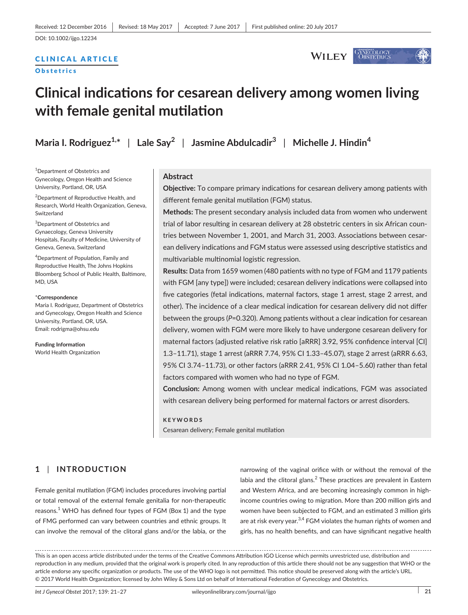# CLINICAL ARTICLE

#### **Obstetrics**

GYNECOLOGY<br>Obstetrics **WILEY** 

# **Clinical indications for cesarean delivery among women living with female genital mutilation**

**Maria I. Rodriguez1,\*** | **Lale Say<sup>2</sup>** | **Jasmine Abdulcadir<sup>3</sup>** | **Michelle J. Hindin<sup>4</sup>**

1 Department of Obstetrics and Gynecology, Oregon Health and Science University, Portland, OR, USA

<sup>2</sup>Department of Reproductive Health, and Research, World Health Organization, Geneva, Switzerland

3 Department of Obstetrics and Gynaecology, Geneva University Hospitals, Faculty of Medicine, University of Geneva, Geneva, Switzerland

4 Department of Population, Family and Reproductive Health, The Johns Hopkins Bloomberg School of Public Health, Baltimore, MD, USA

#### \***Correspondence**

Maria I. Rodriguez, Department of Obstetrics and Gynecology, Oregon Health and Science University, Portland, OR, USA. Email: [rodrigma@ohsu.edu](mailto:rodrigma@ohsu.edu)

**Funding Information** World Health Organization

#### **Abstract**

**Objective:** To compare primary indications for cesarean delivery among patients with different female genital mutilation (FGM) status.

**Methods:** The present secondary analysis included data from women who underwent trial of labor resulting in cesarean delivery at 28 obstetric centers in six African countries between November 1, 2001, and March 31, 2003. Associations between cesarean delivery indications and FGM status were assessed using descriptive statistics and multivariable multinomial logistic regression.

**Results:** Data from 1659 women (480 patients with no type of FGM and 1179 patients with FGM [any type]) were included; cesarean delivery indications were collapsed into five categories (fetal indications, maternal factors, stage 1 arrest, stage 2 arrest, and other). The incidence of a clear medical indication for cesarean delivery did not differ between the groups (*P*=0.320). Among patients without a clear indication for cesarean delivery, women with FGM were more likely to have undergone cesarean delivery for maternal factors (adjusted relative risk ratio [aRRR] 3.92, 95% confidence interval [CI] 1.3–11.71), stage 1 arrest (aRRR 7.74, 95% CI 1.33–45.07), stage 2 arrest (aRRR 6.63, 95% CI 3.74–11.73), or other factors (aRRR 2.41, 95% CI 1.04–5.60) rather than fetal factors compared with women who had no type of FGM.

**Conclusion:** Among women with unclear medical indications, FGM was associated with cesarean delivery being performed for maternal factors or arrest disorders.

#### **KEYWORDS**

Cesarean delivery; Female genital mutilation

# **1** | **INTRODUCTION**

Female genital mutilation (FGM) includes procedures involving partial or total removal of the external female genitalia for non-therapeutic reasons.<sup>1</sup> WHO has defined four types of FGM (Box 1) and the type of FMG performed can vary between countries and ethnic groups. It can involve the removal of the clitoral glans and/or the labia, or the

narrowing of the vaginal orifice with or without the removal of the labia and the clitoral glans. $<sup>2</sup>$  These practices are prevalent in Eastern</sup> and Western Africa, and are becoming increasingly common in highincome countries owing to migration. More than 200 million girls and women have been subjected to FGM, and an estimated 3 million girls are at risk every year.<sup>3,4</sup> FGM violates the human rights of women and girls, has no health benefits, and can have significant negative health

This is an open access article distributed under the terms of the Creative Commons [Attribution](https://creativecommons.org/licenses/by/3.0/igo/legalcode) IGO License which permits unrestricted use, distribution and reproduction in any medium, provided that the original work is properly cited. In any reproduction of this article there should not be any suggestion that WHO or the article endorse any specific organization or products. The use of the WHO logo is not permitted. This notice should be preserved along with the article's URL. © 2017 World Health Organization; licensed by John Wiley & Sons Ltd on behalf of International Federation of Gynecology and Obstetrics.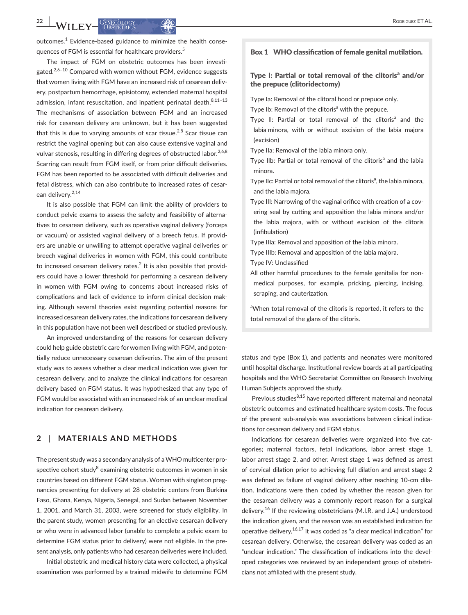outcomes. $1$  Evidence-based guidance to minimize the health consequences of FGM is essential for healthcare providers.<sup>5</sup>

The impact of FGM on obstetric outcomes has been investigated.<sup>2,6–10</sup> Compared with women without FGM, evidence suggests that women living with FGM have an increased risk of cesarean delivery, postpartum hemorrhage, episiotomy, extended maternal hospital admission, infant resuscitation, and inpatient perinatal death. $8,11-13$ The mechanisms of association between FGM and an increased risk for cesarean delivery are unknown, but it has been suggested that this is due to varying amounts of scar tissue.<sup>2,8</sup> Scar tissue can restrict the vaginal opening but can also cause extensive vaginal and vulvar stenosis, resulting in differing degrees of obstructed labor.<sup>2,6,8</sup> Scarring can result from FGM itself, or from prior difficult deliveries. FGM has been reported to be associated with difficult deliveries and fetal distress, which can also contribute to increased rates of cesarean delivery.2,14

It is also possible that FGM can limit the ability of providers to conduct pelvic exams to assess the safety and feasibility of alternatives to cesarean delivery, such as operative vaginal delivery (forceps or vacuum) or assisted vaginal delivery of a breech fetus. If providers are unable or unwilling to attempt operative vaginal deliveries or breech vaginal deliveries in women with FGM, this could contribute to increased cesarean delivery rates. $2$  It is also possible that providers could have a lower threshold for performing a cesarean delivery in women with FGM owing to concerns about increased risks of complications and lack of evidence to inform clinical decision making. Although several theories exist regarding potential reasons for increased cesarean delivery rates, the indications for cesarean delivery in this population have not been well described or studied previously.

An improved understanding of the reasons for cesarean delivery could help guide obstetric care for women living with FGM, and potentially reduce unnecessary cesarean deliveries. The aim of the present study was to assess whether a clear medical indication was given for cesarean delivery, and to analyze the clinical indications for cesarean delivery based on FGM status. It was hypothesized that any type of FGM would be associated with an increased risk of an unclear medical indication for cesarean delivery.

### **2** | **MATERIALS AND METHODS**

The present study was a secondary analysis of a WHO multicenter prospective cohort study $8$  examining obstetric outcomes in women in six countries based on different FGM status. Women with singleton pregnancies presenting for delivery at 28 obstetric centers from Burkina Faso, Ghana, Kenya, Nigeria, Senegal, and Sudan between November 1, 2001, and March 31, 2003, were screened for study eligibility. In the parent study, women presenting for an elective cesarean delivery or who were in advanced labor (unable to complete a pelvic exam to determine FGM status prior to delivery) were not eligible. In the present analysis, only patients who had cesarean deliveries were included.

Initial obstetric and medical history data were collected, a physical examination was performed by a trained midwife to determine FGM

#### Box 1 WHO classification of female genital mutilation.

#### Type I: Partial or total removal of the clitoris<sup>a</sup> and/or the prepuce (clitoridectomy)

Type Ia: Removal of the clitoral hood or prepuce only.

- Type Ib: Removal of the clitoris<sup>a</sup> with the prepuce.
- Type II: Partial or total removal of the clitoris<sup>a</sup> and the labia minora, with or without excision of the labia majora (excision)
- Type IIa: Removal of the labia minora only.
- Type IIb: Partial or total removal of the clitoris<sup>a</sup> and the labia minora.
- Type IIc: Partial or total removal of the clitoris<sup>a</sup>, the labia minora, and the labia majora.
- Type III: Narrowing of the vaginal orifice with creation of a covering seal by cutting and apposition the labia minora and/or the labia majora, with or without excision of the clitoris (infibulation)
- Type IIIa: Removal and apposition of the labia minora.
- Type IIIb: Removal and apposition of the labia majora.
- Type IV: Unclassified
- All other harmful procedures to the female genitalia for nonmedical purposes, for example, pricking, piercing, incising, scraping, and cauterization.

<sup>a</sup>When total removal of the clitoris is reported, it refers to the total removal of the glans of the clitoris.

status and type (Box 1), and patients and neonates were monitored until hospital discharge. Institutional review boards at all participating hospitals and the WHO Secretariat Committee on Research Involving Human Subjects approved the study.

Previous studies<sup>8,15</sup> have reported different maternal and neonatal obstetric outcomes and estimated healthcare system costs. The focus of the present sub-analysis was associations between clinical indications for cesarean delivery and FGM status.

Indications for cesarean deliveries were organized into five categories; maternal factors, fetal indications, labor arrest stage 1, labor arrest stage 2, and other. Arrest stage 1 was defined as arrest of cervical dilation prior to achieving full dilation and arrest stage 2 was defined as failure of vaginal delivery after reaching 10-cm dilation. Indications were then coded by whether the reason given for the cesarean delivery was a commonly report reason for a surgical delivery.<sup>16</sup> If the reviewing obstetricians (M.I.R. and J.A.) understood the indication given, and the reason was an established indication for operative delivery, $16,17$  it was coded as "a clear medical indication" for cesarean delivery. Otherwise, the cesarean delivery was coded as an "unclear indication." The classification of indications into the developed categories was reviewed by an independent group of obstetricians not affiliated with the present study.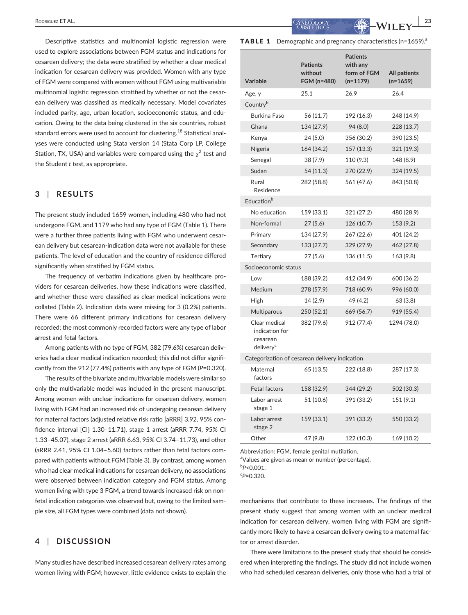Descriptive statistics and multinomial logistic regression were used to explore associations between FGM status and indications for cesarean delivery; the data were stratified by whether a clear medical indication for cesarean delivery was provided. Women with any type of FGM were compared with women without FGM using multivariable multinomial logistic regression stratified by whether or not the cesarean delivery was classified as medically necessary. Model covariates included parity, age, urban location, socioeconomic status, and education. Owing to the data being clustered in the six countries, robust standard errors were used to account for clustering.<sup>18</sup> Statistical analyses were conducted using Stata version 14 (Stata Corp LP, College Station, TX, USA) and variables were compared using the  $\chi^2$  test and the Student *t* test, as appropriate.

# **3** | **RESULTS**

The present study included 1659 women, including 480 who had not undergone FGM, and 1179 who had any type of FGM (Table 1). There were a further three patients living with FGM who underwent cesarean delivery but cesarean-indication data were not available for these patients. The level of education and the country of residence differed significantly when stratified by FGM status.

The frequency of verbatim indications given by healthcare providers for cesarean deliveries, how these indications were classified, and whether these were classified as clear medical indications were collated (Table 2). Indication data were missing for 3 (0.2%) patients. There were 66 different primary indications for cesarean delivery recorded; the most commonly recorded factors were any type of labor arrest and fetal factors.

Among patients with no type of FGM, 382 (79.6%) cesarean deliveries had a clear medical indication recorded; this did not differ significantly from the 912 (77.4%) patients with any type of FGM (*P*=0.320).

The results of the bivariate and multivariable models were similar so only the multivariable model was included in the present manuscript. Among women with unclear indications for cesarean delivery, women living with FGM had an increased risk of undergoing cesarean delivery for maternal factors (adjusted relative risk ratio [aRRR] 3.92, 95% confidence interval [CI] 1.30–11.71), stage 1 arrest (aRRR 7.74, 95% CI 1.33–45.07), stage 2 arrest (aRRR 6.63, 95% CI 3.74–11.73), and other (aRRR 2.41, 95% CI 1.04–5.60) factors rather than fetal factors compared with patients without FGM (Table 3). By contrast, among women who had clear medical indications for cesarean delivery, no associations were observed between indication category and FGM status. Among women living with type 3 FGM, a trend towards increased risk on nonfetal indication categories was observed but, owing to the limited sample size, all FGM types were combined (data not shown).

# **4** | **DISCUSSION**

Many studies have described increased cesarean delivery rates among women living with FGM; however, little evidence exists to explain the

 **RODRIGUEZ ET AL.** 23

**TABLE 1** Demographic and pregnancy characteristics (n=1659).<sup>a</sup>

| <b>Variable</b>                                                      | <b>Patients</b><br>without<br>FGM (n=480) | <b>Patients</b><br>with any<br>form of FGM<br>$(n=1179)$ | All patients<br>$(n=1659)$ |  |  |  |
|----------------------------------------------------------------------|-------------------------------------------|----------------------------------------------------------|----------------------------|--|--|--|
| Age, y                                                               | 25.1                                      | 26.9                                                     | 26.4                       |  |  |  |
| Country <sup>b</sup>                                                 |                                           |                                                          |                            |  |  |  |
| <b>Burkina Faso</b>                                                  | 56 (11.7)                                 | 192 (16.3)                                               | 248 (14.9)                 |  |  |  |
| Ghana                                                                | 134 (27.9)                                | 94 (8.0)                                                 | 228 (13.7)                 |  |  |  |
| Kenya                                                                | 24(5.0)                                   | 356 (30.2)                                               | 390 (23.5)                 |  |  |  |
| Nigeria                                                              | 164 (34.2)                                | 157 (13.3)                                               | 321 (19.3)                 |  |  |  |
| Senegal                                                              | 38 (7.9)                                  | 110 (9.3)                                                | 148 (8.9)                  |  |  |  |
| Sudan                                                                | 54 (11.3)                                 | 270 (22.9)                                               | 324 (19.5)                 |  |  |  |
| Rural<br>Residence                                                   | 282 (58.8)                                | 561 (47.6)                                               | 843 (50.8)                 |  |  |  |
| Education <sup>b</sup>                                               |                                           |                                                          |                            |  |  |  |
| No education                                                         | 159 (33.1)                                | 321 (27.2)                                               | 480 (28.9)                 |  |  |  |
| Non-formal                                                           | 27(5.6)                                   | 126 (10.7)                                               | 153 (9.2)                  |  |  |  |
| Primary                                                              | 134 (27.9)                                | 267 (22.6)                                               | 401 (24.2)                 |  |  |  |
| Secondary                                                            | 133 (27.7)                                | 329 (27.9)                                               | 462 (27.8)                 |  |  |  |
| Tertiary                                                             | 27(5.6)                                   | 136 (11.5)                                               | 163 (9.8)                  |  |  |  |
| Socioeconomic status                                                 |                                           |                                                          |                            |  |  |  |
| Low                                                                  | 188 (39.2)                                | 412 (34.9)                                               | 600 (36.2)                 |  |  |  |
| Medium                                                               | 278 (57.9)                                | 718 (60.9)                                               | 996 (60.0)                 |  |  |  |
| High                                                                 | 14 (2.9)                                  | 49 (4.2)                                                 | 63 (3.8)                   |  |  |  |
| Multiparous                                                          | 250 (52.1)                                | 669 (56.7)                                               | 919 (55.4)                 |  |  |  |
| Clear medical<br>indication for<br>cesarean<br>delivery <sup>c</sup> | 382 (79.6)                                | 912 (77.4)                                               | 1294 (78.0)                |  |  |  |
| Categorization of cesarean delivery indication                       |                                           |                                                          |                            |  |  |  |
| Maternal<br>factors                                                  | 65 (13.5)                                 | 222 (18.8)                                               | 287 (17.3)                 |  |  |  |
| <b>Fetal factors</b>                                                 | 158 (32.9)                                | 344 (29.2)                                               | 502 (30.3)                 |  |  |  |
| Labor arrest<br>stage 1                                              | 51 (10.6)                                 | 391 (33.2)                                               | 151 (9.1)                  |  |  |  |
| Labor arrest<br>stage 2                                              | 159 (33.1)                                | 391 (33.2)                                               | 550 (33.2)                 |  |  |  |
| Other                                                                | 47 (9.8)                                  | 122 (10.3)                                               | 169 (10.2)                 |  |  |  |
|                                                                      |                                           |                                                          |                            |  |  |  |

Abbreviation: FGM, female genital mutilation.

<sup>a</sup>Values are given as mean or number (percentage).

b *P*<0.001.

c *P*=0.320.

mechanisms that contribute to these increases. The findings of the present study suggest that among women with an unclear medical indication for cesarean delivery, women living with FGM are significantly more likely to have a cesarean delivery owing to a maternal factor or arrest disorder.

There were limitations to the present study that should be considered when interpreting the findings. The study did not include women who had scheduled cesarean deliveries, only those who had a trial of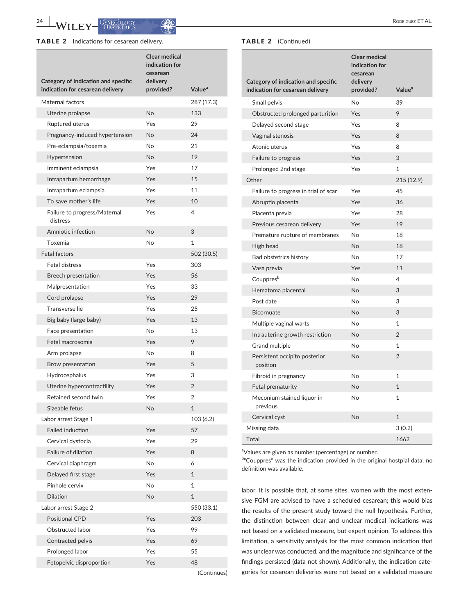**24 | <b>A**/**II EX** | GANECOLOGY | **A**<sup>2</sup> | **A**<sup>2</sup> | **A**<sup>2</sup> | **A**<sup>2</sup> | **C**<sub>2</sub> | **A**<sup>2</sup> | **A**<sup>2</sup> | **A**<sup>2</sup> | **A**<sup>2</sup> | **A**<sup>2</sup> | **A**<sup>2</sup> | **A**<sup>2</sup> | **A**<sup>2</sup> | **A**<sup>2</sup> | **A**<sup>2</sup> | **A**<sup>2</sup> | **A**<sup>2</sup> | **A**<sup>2</sup> | **A**<sup>2</sup> | **A**<sup>2</sup> | **A**<sup>2</sup>

#### TABLE 2 Indications for cesarean delivery. TABLE 2 (Continued)

| Category of indication and specific      | <b>Clear medical</b><br>indication for<br>cesarean<br>delivery |                    |
|------------------------------------------|----------------------------------------------------------------|--------------------|
| indication for cesarean delivery         | provided?                                                      | Value <sup>a</sup> |
| Maternal factors                         |                                                                | 287 (17.3)         |
| Uterine prolapse                         | No                                                             | 133                |
| Ruptured uterus                          | Yes                                                            | 29                 |
| Pregnancy-induced hypertension           | No                                                             | 24                 |
| Pre-eclampsia/toxemia                    | <b>No</b>                                                      | 21                 |
| Hypertension                             | <b>No</b>                                                      | 19                 |
| Imminent eclampsia                       | Yes                                                            | 17                 |
| Intrapartum hemorrhage                   | Yes                                                            | 15                 |
| Intrapartum eclampsia                    | Yes                                                            | 11                 |
| To save mother's life                    | Yes                                                            | 10                 |
| Failure to progress/Maternal<br>distress | Yes                                                            | 4                  |
| Amniotic infection                       | No                                                             | 3                  |
| Toxemia                                  | No                                                             | 1                  |
| Fetal factors                            |                                                                | 502 (30.5)         |
| <b>Fetal distress</b>                    | Yes                                                            | 303                |
| <b>Breech presentation</b>               | Yes                                                            | 56                 |
| Malpresentation                          | Yes                                                            | 33                 |
| Cord prolapse                            | Yes                                                            | 29                 |
| Transverse lie                           | Yes                                                            | 25                 |
| Big baby (large baby)                    | Yes                                                            | 13                 |
| Face presentation                        | <b>No</b>                                                      | 13                 |
| Fetal macrosomia                         | Yes                                                            | 9                  |
| Arm prolapse                             | <b>No</b>                                                      | 8                  |
| Brow presentation                        | Yes                                                            | 5                  |
| Hydrocephalus                            | Yes                                                            | 3                  |
| Uterine hypercontractility               | Yes                                                            | $\overline{2}$     |
| Retained second twin                     | Yes                                                            | 2                  |
| Sizeable fetus                           | No                                                             | 1                  |
| Labor arrest Stage 1                     |                                                                | 103 (6.2)          |
| <b>Failed induction</b>                  | Yes                                                            | 57                 |
| Cervical dystocia                        | Yes                                                            | 29                 |
| Failure of dilation                      | Yes                                                            | 8                  |
| Cervical diaphragm                       | N <sub>o</sub>                                                 | 6                  |
| Delayed first stage                      | Yes                                                            | $\mathbf{1}$       |
| Pinhole cervix                           | No                                                             | 1                  |
| <b>Dilation</b>                          | No                                                             | $\mathbf{1}$       |
| Labor arrest Stage 2                     |                                                                | 550 (33.1)         |
| <b>Positional CPD</b>                    | Yes                                                            | 203                |
| Obstructed labor                         | Yes                                                            | 99                 |
| Contracted pelvis                        | Yes                                                            | 69                 |
| Prolonged labor                          | Yes                                                            | 55                 |
| Fetopelvic disproportion                 | Yes                                                            | 48                 |
|                                          |                                                                | (Continues)        |

| Category of indication and specific       | <b>Clear medical</b><br>indication for<br>cesarean<br>delivery |                    |
|-------------------------------------------|----------------------------------------------------------------|--------------------|
| indication for cesarean delivery          | provided?                                                      | Value <sup>a</sup> |
| Small pelvis                              | No                                                             | 39                 |
| Obstructed prolonged parturition          | Yes                                                            | 9                  |
| Delayed second stage                      | Yes                                                            | 8                  |
| Vaginal stenosis                          | Yes                                                            | 8                  |
| Atonic uterus                             | Yes                                                            | 8                  |
| Failure to progress                       | Yes                                                            | 3                  |
| Prolonged 2nd stage                       | Yes                                                            | $\mathbf{1}$       |
| Other                                     |                                                                | 215 (12.9)         |
| Failure to progress in trial of scar      | Yes                                                            | 45                 |
| Abruptio placenta                         | Yes                                                            | 36                 |
| Placenta previa                           | Yes                                                            | 28                 |
| Previous cesarean delivery                | Yes                                                            | 19                 |
| Premature rupture of membranes            | <b>No</b>                                                      | 18                 |
| High head                                 | <b>No</b>                                                      | 18                 |
| Bad obstetrics history                    | <b>No</b>                                                      | 17                 |
| Vasa previa                               | Yes                                                            | 11                 |
| Couppres <sup>b</sup>                     | No                                                             | 4                  |
| Hematoma placental                        | <b>No</b>                                                      | 3                  |
| Post date                                 | <b>No</b>                                                      | 3                  |
| <b>Bicornuate</b>                         | No                                                             | 3                  |
| Multiple vaginal warts                    | No                                                             | $\mathbf{1}$       |
| Intrauterine growth restriction           | No                                                             | $\overline{2}$     |
| Grand multiple                            | <b>No</b>                                                      | $\mathbf{1}$       |
| Persistent occipito posterior<br>position | <b>No</b>                                                      | $\overline{2}$     |
| Fibroid in pregnancy                      | No                                                             | $\mathbf{1}$       |
| Fetal prematurity                         | No                                                             | $\mathbf{1}$       |
| Meconium stained liquor in<br>previous    | No                                                             | $\mathbf{1}$       |
| Cervical cyst                             | <b>No</b>                                                      | $\mathbf{1}$       |
| Missing data                              |                                                                | 3(0.2)             |
| Total                                     |                                                                | 1662               |

<sup>a</sup>Values are given as number (percentage) or number.

b"Couppres" was the indication provided in the original hostpial data; no definition was available.

labor. It is possible that, at some sites, women with the most extensive FGM are advised to have a scheduled cesarean; this would bias the results of the present study toward the null hypothesis. Further, the distinction between clear and unclear medical indications was not based on a validated measure, but expert opinion. To address this limitation, a sensitivity analysis for the most common indication that was unclear was conducted, and the magnitude and significance of the findings persisted (data not shown). Additionally, the indication categories for cesarean deliveries were not based on a validated measure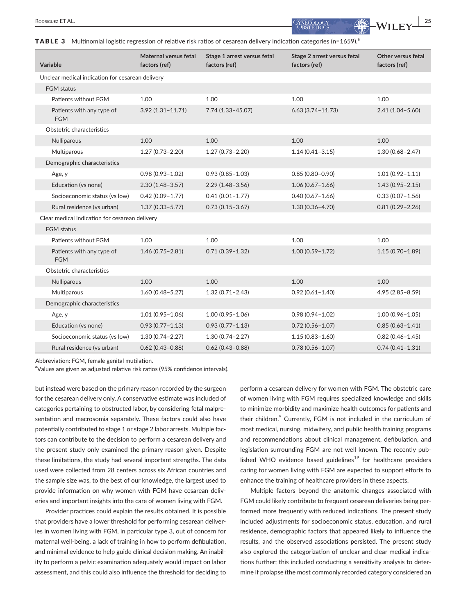**RODRIGUEZ ET AL.** 25

**TABLE 3** Multinomial logistic regression of relative risk ratios of cesarean delivery indication categories (n=1659).<sup>a</sup>

| Variable                                         | Maternal versus fetal<br>factors (ref) | Stage 1 arrest versus fetal<br>factors (ref) | Stage 2 arrest versus fetal<br>factors (ref) | Other versus fetal<br>factors (ref) |  |  |  |
|--------------------------------------------------|----------------------------------------|----------------------------------------------|----------------------------------------------|-------------------------------------|--|--|--|
| Unclear medical indication for cesarean delivery |                                        |                                              |                                              |                                     |  |  |  |
| <b>FGM</b> status                                |                                        |                                              |                                              |                                     |  |  |  |
| Patients without FGM                             | 1.00                                   | 1.00                                         | 1.00                                         | 1.00                                |  |  |  |
| Patients with any type of<br><b>FGM</b>          | $3.92(1.31 - 11.71)$                   | $7.74(1.33 - 45.07)$                         | $6.63(3.74 - 11.73)$                         | $2.41(1.04 - 5.60)$                 |  |  |  |
| Obstetric characteristics                        |                                        |                                              |                                              |                                     |  |  |  |
| Nulliparous                                      | 1.00                                   | 1.00                                         | 1.00                                         | 1.00                                |  |  |  |
| Multiparous                                      | $1.27(0.73 - 2.20)$                    | $1.27(0.73 - 2.20)$                          | $1.14(0.41 - 3.15)$                          | $1.30(0.68 - 2.47)$                 |  |  |  |
| Demographic characteristics                      |                                        |                                              |                                              |                                     |  |  |  |
| Age, y                                           | $0.98(0.93 - 1.02)$                    | $0.93(0.85 - 1.03)$                          | $0.85(0.80 - 0.90)$                          | $1.01(0.92 - 1.11)$                 |  |  |  |
| Education (vs none)                              | $2.30(1.48-3.57)$                      | $2.29(1.48 - 3.56)$                          | $1.06(0.67 - 1.66)$                          | $1.43(0.95 - 2.15)$                 |  |  |  |
| Socioeconomic status (vs low)                    | $0.42(0.09 - 1.77)$                    | $0.41(0.01 - 1.77)$                          | $0.40(0.67 - 1.66)$                          | $0.33(0.07 - 1.56)$                 |  |  |  |
| Rural residence (vs urban)                       | $1.37(0.33 - 5.77)$                    | $0.73(0.15 - 3.67)$                          | $1.30(0.36 - 4.70)$                          | $0.81(0.29 - 2.26)$                 |  |  |  |
| Clear medical indication for cesarean delivery   |                                        |                                              |                                              |                                     |  |  |  |
| <b>FGM</b> status                                |                                        |                                              |                                              |                                     |  |  |  |
| Patients without FGM                             | 1.00                                   | 1.00                                         | 1.00                                         | 1.00                                |  |  |  |
| Patients with any type of<br><b>FGM</b>          | $1.46(0.75 - 2.81)$                    | $0.71(0.39 - 1.32)$                          | $1.00(0.59 - 1.72)$                          | $1.15(0.70 - 1.89)$                 |  |  |  |
| Obstetric characteristics                        |                                        |                                              |                                              |                                     |  |  |  |
| Nulliparous                                      | 1.00                                   | 1.00                                         | 1.00                                         | 1.00                                |  |  |  |
| Multiparous                                      | $1.60(0.48 - 5.27)$                    | $1.32(0.71 - 2.43)$                          | $0.92(0.61 - 1.40)$                          | $4.95(2.85 - 8.59)$                 |  |  |  |
| Demographic characteristics                      |                                        |                                              |                                              |                                     |  |  |  |
| Age, y                                           | $1.01(0.95 - 1.06)$                    | $1.00(0.95 - 1.06)$                          | $0.98(0.94 - 1.02)$                          | $1.00(0.96 - 1.05)$                 |  |  |  |
| Education (vs none)                              | $0.93(0.77 - 1.13)$                    | $0.93(0.77 - 1.13)$                          | $0.72(0.56 - 1.07)$                          | $0.85(0.63 - 1.41)$                 |  |  |  |
| Socioeconomic status (vs low)                    | $1.30(0.74 - 2.27)$                    | $1.30(0.74 - 2.27)$                          | $1.15(0.83 - 1.60)$                          | $0.82(0.46 - 1.45)$                 |  |  |  |
| Rural residence (vs urban)                       | $0.62(0.43 - 0.88)$                    | $0.62(0.43 - 0.88)$                          | $0.78(0.56 - 1.07)$                          | $0.74(0.41 - 1.31)$                 |  |  |  |

Abbreviation: FGM, female genital mutilation.

<sup>a</sup>Values are given as adjusted relative risk ratios (95% confidence intervals).

but instead were based on the primary reason recorded by the surgeon for the cesarean delivery only. A conservative estimate was included of categories pertaining to obstructed labor, by considering fetal malpresentation and macrosomia separately. These factors could also have potentially contributed to stage 1 or stage 2 labor arrests. Multiple factors can contribute to the decision to perform a cesarean delivery and the present study only examined the primary reason given. Despite these limitations, the study had several important strengths. The data used were collected from 28 centers across six African countries and the sample size was, to the best of our knowledge, the largest used to provide information on why women with FGM have cesarean deliveries and important insights into the care of women living with FGM.

Provider practices could explain the results obtained. It is possible that providers have a lower threshold for performing cesarean deliveries in women living with FGM, in particular type 3, out of concern for maternal well-being, a lack of training in how to perform defibulation, and minimal evidence to help guide clinical decision making. An inability to perform a pelvic examination adequately would impact on labor assessment, and this could also influence the threshold for deciding to perform a cesarean delivery for women with FGM. The obstetric care of women living with FGM requires specialized knowledge and skills to minimize morbidity and maximize health outcomes for patients and their children.<sup>5</sup> Currently, FGM is not included in the curriculum of most medical, nursing, midwifery, and public health training programs and recommendations about clinical management, defibulation, and legislation surrounding FGM are not well known. The recently published WHO evidence based guidelines<sup>19</sup> for healthcare providers caring for women living with FGM are expected to support efforts to enhance the training of healthcare providers in these aspects.

Multiple factors beyond the anatomic changes associated with FGM could likely contribute to frequent cesarean deliveries being performed more frequently with reduced indications. The present study included adjustments for socioeconomic status, education, and rural residence, demographic factors that appeared likely to influence the results, and the observed associations persisted. The present study also explored the categorization of unclear and clear medical indications further; this included conducting a sensitivity analysis to determine if prolapse (the most commonly recorded category considered an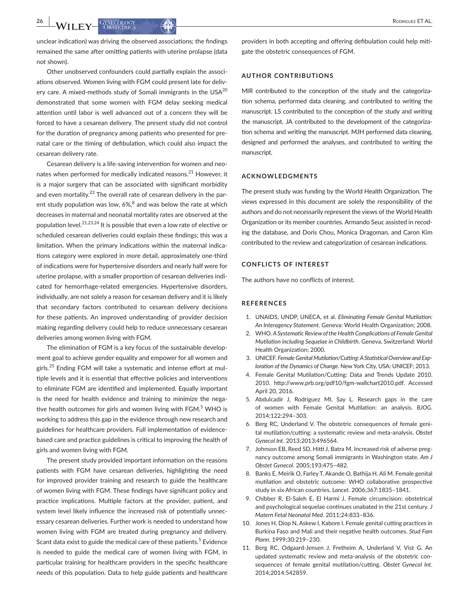**26 |A/II EX.** GANECOLOGY (A)  $\left| \frac{1}{2} \right|$ 

unclear indication) was driving the observed associations; the findings remained the same after omitting patients with uterine prolapse (data not shown).

Other unobserved confounders could partially explain the associations observed. Women living with FGM could present late for delivery care. A mixed-methods study of Somali immigrants in the USA<sup>20</sup> demonstrated that some women with FGM delay seeking medical attention until labor is well advanced out of a concern they will be forced to have a cesarean delivery. The present study did not control for the duration of pregnancy among patients who presented for prenatal care or the timing of defibulation, which could also impact the cesarean delivery rate.

Cesarean delivery is a life-saving intervention for women and neonates when performed for medically indicated reasons.<sup>21</sup> However, it is a major surgery that can be associated with significant morbidity and even mortality.<sup>22</sup> The overall rate of cesarean delivery in the parent study population was low,  $6\%$ <sup>8</sup> and was below the rate at which decreases in maternal and neonatal mortality rates are observed at the population level.<sup>21,23,24</sup> It is possible that even a low rate of elective or scheduled cesarean deliveries could explain these findings; this was a limitation. When the primary indications within the maternal indications category were explored in more detail, approximately one-third of indications were for hypertensive disorders and nearly half were for uterine prolapse, with a smaller proportion of cesarean deliveries indicated for hemorrhage-related emergencies. Hypertensive disorders, individually, are not solely a reason for cesarean delivery and it is likely that secondary factors contributed to cesarean delivery decisions for these patients. An improved understanding of provider decision making regarding delivery could help to reduce unnecessary cesarean deliveries among women living with FGM.

The elimination of FGM is a key focus of the sustainable development goal to achieve gender equality and empower for all women and girls.<sup>25</sup> Ending FGM will take a systematic and intense effort at multiple levels and it is essential that effective policies and interventions to eliminate FGM are identified and implemented. Equally important is the need for health evidence and training to minimize the negative health outcomes for girls and women living with FGM.<sup>5</sup> WHO is working to address this gap in the evidence through new research and guidelines for healthcare providers. Full implementation of evidencebased care and practice guidelines is critical to improving the health of girls and women living with FGM.

The present study provided important information on the reasons patients with FGM have cesarean deliveries, highlighting the need for improved provider training and research to guide the healthcare of women living with FGM. These findings have significant policy and practice implications. Multiple factors at the provider, patient, and system level likely influence the increased risk of potentially unnecessary cesarean deliveries. Further work is needed to understand how women living with FGM are treated during pregnancy and delivery. Scant data exist to guide the medical care of these patients.<sup>5</sup> Evidence is needed to guide the medical care of women living with FGM, in particular training for healthcare providers in the specific healthcare needs of this population. Data to help guide patients and healthcare

providers in both accepting and offering defibulation could help mitigate the obstetric consequences of FGM.

#### **AUTHOR CONTRIBUTIONS**

MIR contributed to the conception of the study and the categorization schema, performed data cleaning, and contributed to writing the manuscript. LS contributed to the conception of the study and writing the manuscript. JA contributed to the development of the categorization schema and writing the manuscript. MJH performed data cleaning, designed and performed the analyses, and contributed to writing the manuscript.

#### **ACKNOWLEDGMENTS**

The present study was funding by the World Health Organization. The views expressed in this document are solely the responsibility of the authors and do not necessarily represent the views of the World Health Organization or its member countries. Armando Seuc assisted in recoding the database, and Doris Chou, Monica Dragoman, and Caron Kim contributed to the review and categorization of cesarean indications.

#### **CONFLICTS OF INTEREST**

The authors have no conflicts of interest.

#### **REFERENCES**

- 1. UNAIDS, UNDP, UNECA, et al. *Eliminating Female Genital Mutilation: An Interagency Statement*. Geneva: World Health Organization; 2008.
- 2. WHO. *A Systematic Review of the Health Complications of Female Genital Mutilation including Sequelae in Childbirth*. Geneva, Switzerland: World Health Organization; 2000.
- 3. UNICEF. Female Genital Mutilation/Cutting: A Statistical Overview and Exp*loration of the Dynamics of Change*. New York City, USA: UNICEF; 2013.
- 4. Female Genital Mutilation/Cutting: Data and Trends Update 2010. 2010. [http://www.prb.org/pdf10/fgm-wallchart2010.pdf.](http://www.prb.org/pdf10/fgm-wallchart2010.pdf) Accessed April 20, 2016.
- 5. Abdulcadir J, Rodriguez MI, Say L. Research gaps in the care of women with Female Genital Mutilation: an analysis. *BJOG*. 2014;122:294–303.
- 6. Berg RC, Underland V. The obstetric consequences of female genital mutilation/cutting: a systematic review and meta-analysis. *Obstet Gynecol Int*. 2013;2013:496564.
- 7. Johnson EB, Reed SD, Hitti J, Batra M. Increased risk of adverse pregnancy outcome among Somali immigrants in Washington state. *Am J Obstet Gynecol*. 2005;193:475–482.
- 8. Banks E, Meirik O, Farley T, Akande O, Bathija H, Ali M. Female genital mutilation and obstetric outcome: WHO collaborative prospective study in six African countries. *Lancet*. 2006;367:1835–1841.
- 9. Chibber R, El-Saleh E, El Harmi J. Female circumcision: obstetrical and psychological sequelae continues unabated in the 21st century. *J Matern Fetal Neonatal Med*. 2011;24:833–836.
- 10. Jones H, Diop N, Askew I, Kabore I. Female genital cutting practices in Burkina Faso and Mali and their negative health outcomes. *Stud Fam Plann*. 1999;30:219–230.
- 11. Berg RC, Odgaard-Jensen J, Fretheim A, Underland V, Vist G. An updated systematic review and meta-analysis of the obstetric consequences of female genital mutilation/cutting. *Obstet Gynecol Int*. 2014;2014:542859.